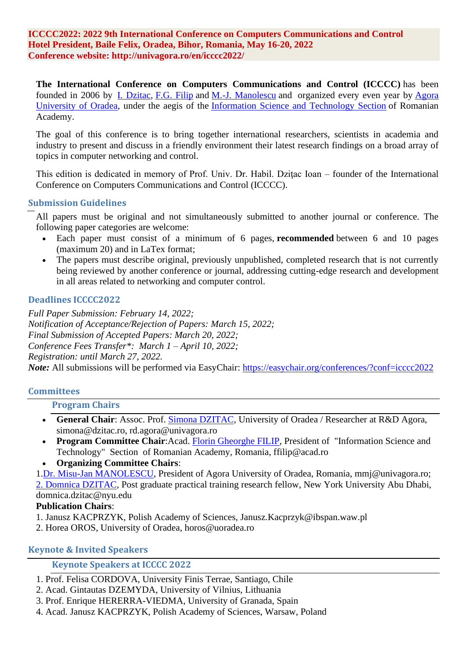**ICCCC2022: 2022 9th International Conference on Computers Communications and Control Hotel President, Baile Felix, Oradea, Bihor, Romania, May 16-20, 2022 Conference website: http://univagora.ro/en/icccc2022/**

**The International Conference on Computers Communications and Control (ICCCC)** has been founded in 2006 by [I. Dzitac,](http://univagora.ro/en/people/ioan-dzitac/) [F.G. Filip](http://www.ici.ro/ici/homepage/filipf.html) and [M.-J. Manolescu](http://univagora.ro/personal/manolescu-mj/) and organized every even year by [Agora](http://univagora.ro/)  [University of Oradea,](http://univagora.ro/) under the aegis of the [Information Science and Technology Section](http://valhalla.racai.ro/sti/) of Romanian Academy.

The goal of this conference is to bring together international researchers, scientists in academia and industry to present and discuss in a friendly environment their latest research findings on a broad array of topics in computer networking and control.

This edition is dedicated in memory of Prof. Univ. Dr. Habil. Dziţac Ioan – founder of the International Conference on Computers Communications and Control (ICCCC).

#### **Submission Guidelines**

All papers must be original and not simultaneously submitted to another journal or conference. The following paper categories are welcome:

- Each paper must consist of a minimum of 6 pages, **recommended** between 6 and 10 pages (maximum 20) and in LaTex format;
- The papers must describe original, previously unpublished, completed research that is not currently being reviewed by another conference or journal, addressing cutting-edge research and development in all areas related to networking and computer control.

#### **Deadlines ICCCC2022**

*Full Paper Submission: February 14, 2022; Notification of Acceptance/Rejection of Papers: March 15, 2022; Final Submission of Accepted Papers: March 20, 2022; Conference Fees Transfer\*: March 1 – April 10, 2022; Registration: until March 27, 2022. Note*: All submissions will be performed via EasyChair: <https://easychair.org/conferences/?conf=icccc2022>

# **Committees**

# **Program Chairs**

- General Chair: Assoc. Prof. **Simona DZITAC**, University of Oradea / Researcher at R&D Agora, simona@dzitac.ro, rd.agora@univagora.ro
- **Program Committee Chair**:Acad. [Florin Gheorghe FILIP,](http://www.academiaromana.ro/cv2006/birou_vice02Filip.htm) President of "Information Science and Technology" Section of Romanian Academy, Romania, ffilip@acad.ro
- **Organizing Committee Chairs**:

1[.Dr. Misu-Jan MANOLESCU,](http://univagora.ro/en/people/mj-manolescu/) President of Agora University of Oradea, Romania, mmj@univagora.ro;

[2. Domnica DZITAC,](http://dzitac.ro/files/ioana/Resume_DomnicaDzitac.pdf) Post graduate practical training research fellow, New York University Abu Dhabi, domnica.dzitac@nyu.edu

# **Publication Chairs**:

- 1. Janusz KACPRZYK, Polish Academy of Sciences, Janusz.Kacprzyk@ibspan.waw.pl
- 2. Horea OROS, University of Oradea, horos@uoradea.ro

# **Keynote & Invited Speakers**

# **Keynote Speakers at ICCCC 2022**

- 1. Prof. Felisa CORDOVA, University Finis Terrae, Santiago, Chile
- 2. Acad. Gintautas DZEMYDA, University of Vilnius, Lithuania
- 3. Prof. Enrique HERERRA-VIEDMA, University of Granada, Spain
- 4. Acad. Janusz KACPRZYK, Polish Academy of Sciences, Warsaw, Poland